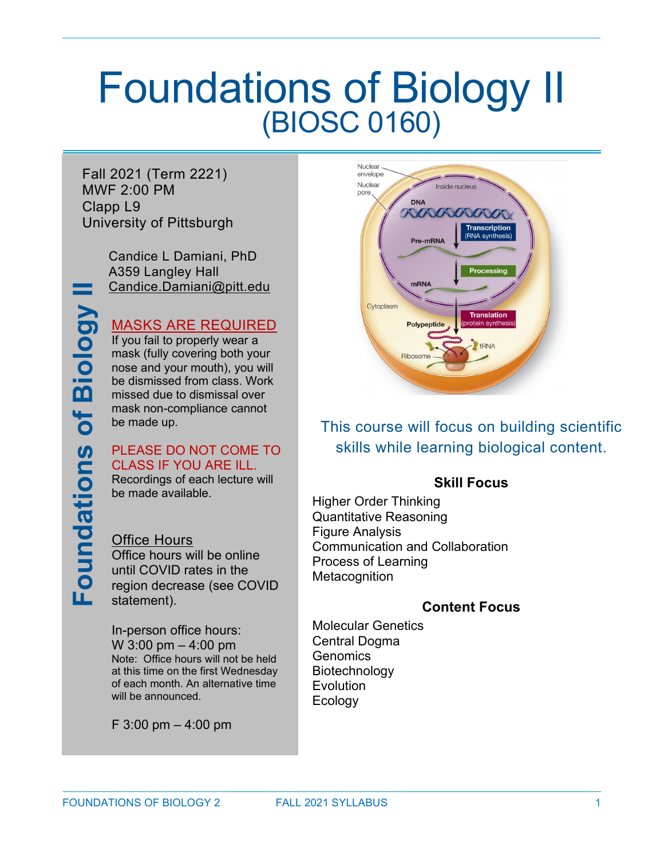# Foundations of Biology II (BIOSC 0160)

Fall 2021 (Term 2221) MWF 2:00 PM Clapp L9 University of Pittsburgh

> Candice L Damiani, PhD A359 Langley Hall [Candice.Damiani@pitt.edu](mailto:Candice.Damiani@pitt.edu)

### MASKS ARE REQUIRED

If you fail to properly wear a mask (fully covering both your nose and your mouth), you will be dismissed from class. Work missed due to dismissal over mask non-compliance cannot be made up.

#### PLEASE DO NOT COME TO CLASS IF YOU ARE ILL.

**Foundations of Biology II**

**Foundations** 

of Biology

Recordings of each lecture will be made available.

Office Hours Office hours will be online until COVID rates in the region decrease (see COVID statement).

In-person office hours: W 3:00 pm – 4:00 pm Note: Office hours will not be held at this time on the first Wednesday of each month. An alternative time will be announced.

F 3:00 pm – 4:00 pm



This course will focus on building scientific skills while learning biological content.

### **Skill Focus**

Higher Order Thinking Quantitative Reasoning Figure Analysis Communication and Collaboration Process of Learning **Metacognition** 

### **Content Focus**

Molecular Genetics Central Dogma **Genomics** Biotechnology **Evolution** Ecology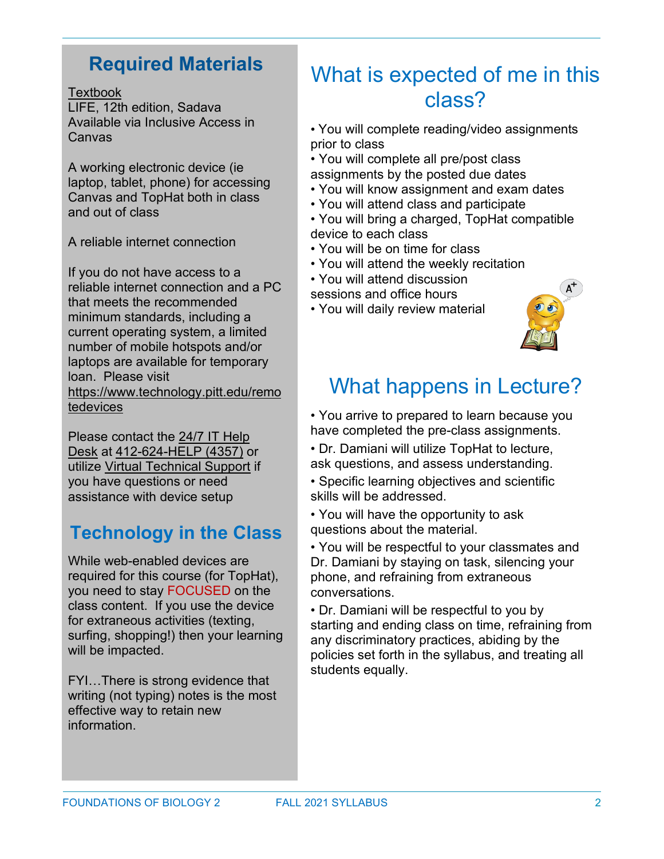### **Required Materials**

#### **Textbook**

LIFE, 12th edition, Sadava Available via Inclusive Access in Canvas

A working electronic device (ie laptop, tablet, phone) for accessing Canvas and TopHat both in class and out of class

A reliable internet connection

If you do not have access to a reliable internet connection and a PC that meets the recommended minimum standards, including a current operating system, a limited number of mobile hotspots and/or laptops are available for temporary loan. Please visit [https://www.technology.pitt.edu/remo](https://www.technology.pitt.edu/remotedevices) [tedevices](https://www.technology.pitt.edu/remotedevices)

Please contact the 24/7 IT [Help](https://nam05.safelinks.protection.outlook.com/?url=https%3A%2F%2Funiversitycommunications-marketing.cmail19.com%2Ft%2Fj-l-qkljduy-irlkhtjhlh-u%2F&data=02%7C01%7CCandice.Damiani%40pitt.edu%7C7032032312f4416473ae08d83d79f948%7C9ef9f489e0a04eeb87cc3a526112fd0d%7C1%7C0%7C637326941363119170&sdata=%2BXkwPn%2FBtW%2FcFe7zHij3vo93N7N5eQtbCOhZVkPnsr8%3D&reserved=0) [Desk](https://nam05.safelinks.protection.outlook.com/?url=https%3A%2F%2Funiversitycommunications-marketing.cmail19.com%2Ft%2Fj-l-qkljduy-irlkhtjhlh-u%2F&data=02%7C01%7CCandice.Damiani%40pitt.edu%7C7032032312f4416473ae08d83d79f948%7C9ef9f489e0a04eeb87cc3a526112fd0d%7C1%7C0%7C637326941363119170&sdata=%2BXkwPn%2FBtW%2FcFe7zHij3vo93N7N5eQtbCOhZVkPnsr8%3D&reserved=0) at [412-624-HELP](https://nam05.safelinks.protection.outlook.com/?url=https%3A%2F%2Funiversitycommunications-marketing.cmail19.com%2Ft%2Fj-l-qkljduy-irlkhtjhlh-o%2F&data=02%7C01%7CCandice.Damiani%40pitt.edu%7C7032032312f4416473ae08d83d79f948%7C9ef9f489e0a04eeb87cc3a526112fd0d%7C1%7C0%7C637326941363129125&sdata=HvhVCvZb4nTS9Yd8bwRB9xKby67EZPux7EJ5j7DKkQc%3D&reserved=0) (4357) or utilize Virtual [Technical](https://nam05.safelinks.protection.outlook.com/?url=https%3A%2F%2Funiversitycommunications-marketing.cmail19.com%2Ft%2Fj-l-qkljduy-irlkhtjhlh-b%2F&data=02%7C01%7CCandice.Damiani%40pitt.edu%7C7032032312f4416473ae08d83d79f948%7C9ef9f489e0a04eeb87cc3a526112fd0d%7C1%7C0%7C637326941363129125&sdata=F3NGuRwkxbAw%2FAUBkgL42K067tF8slt7fIjTYdnoZxs%3D&reserved=0) Support if you have questions or need assistance with device setup

### **Technology in the Class**

While web-enabled devices are required for this course (for TopHat), you need to stay FOCUSED on the class content. If you use the device for extraneous activities (texting, surfing, shopping!) then your learning will be impacted.

FYI…There is strong evidence that writing (not typing) notes is the most effective way to retain new information.

## What is expected of me in this class?

- You will complete reading/video assignments prior to class
- You will complete all pre/post class assignments by the posted due dates
- You will know assignment and exam dates
- You will attend class and participate
- You will bring a charged, TopHat compatible device to each class
- You will be on time for class
- You will attend the weekly recitation
- You will attend discussion
- sessions and office hours
- You will daily review material



## What happens in Lecture?

• You arrive to prepared to learn because you have completed the pre-class assignments.

- Dr. Damiani will utilize TopHat to lecture, ask questions, and assess understanding.
- Specific learning objectives and scientific skills will be addressed.

• You will have the opportunity to ask questions about the material.

• You will be respectful to your classmates and Dr. Damiani by staying on task, silencing your phone, and refraining from extraneous conversations.

• Dr. Damiani will be respectful to you by starting and ending class on time, refraining from any discriminatory practices, abiding by the policies set forth in the syllabus, and treating all students equally.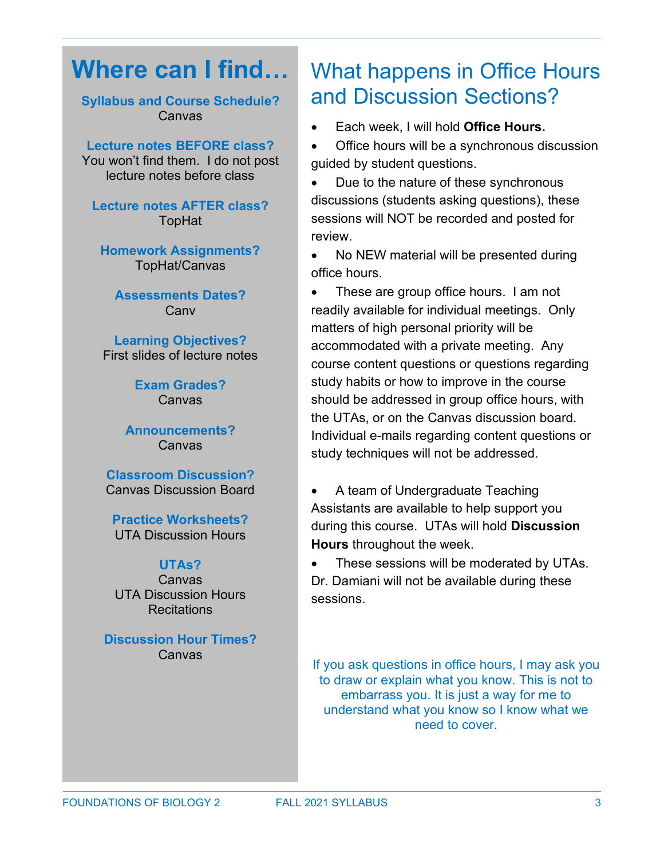## **Where can I find…**

**Syllabus and Course Schedule?** Canvas

#### **Lecture notes BEFORE class?**

You won't find them. I do not post lecture notes before class

**Lecture notes AFTER class?** TopHat

**Homework Assignments?** TopHat/Canvas

**Assessments Dates? Canv** 

**Learning Objectives?** First slides of lecture notes

> **Exam Grades?** Canvas

#### **Announcements?** Canvas

**Classroom Discussion?** Canvas Discussion Board

**Practice Worksheets?** UTA Discussion Hours

#### **UTAs?** Canvas UTA Discussion Hours **Recitations**

**Discussion Hour Times?** Canvas

## What happens in Office Hours and Discussion Sections?

• Each week, I will hold **Office Hours.**

• Office hours will be a synchronous discussion guided by student questions.

• Due to the nature of these synchronous discussions (students asking questions), these sessions will NOT be recorded and posted for review.

• No NEW material will be presented during office hours.

• These are group office hours. I am not readily available for individual meetings. Only matters of high personal priority will be accommodated with a private meeting. Any course content questions or questions regarding study habits or how to improve in the course should be addressed in group office hours, with the UTAs, or on the Canvas discussion board. Individual e-mails regarding content questions or study techniques will not be addressed.

• A team of Undergraduate Teaching Assistants are available to help support you during this course. UTAs will hold **Discussion Hours** throughout the week.

• These sessions will be moderated by UTAs. Dr. Damiani will not be available during these sessions.

If you ask questions in office hours, I may ask you to draw or explain what you know. This is not to embarrass you. It is just a way for me to understand what you know so I know what we need to cover.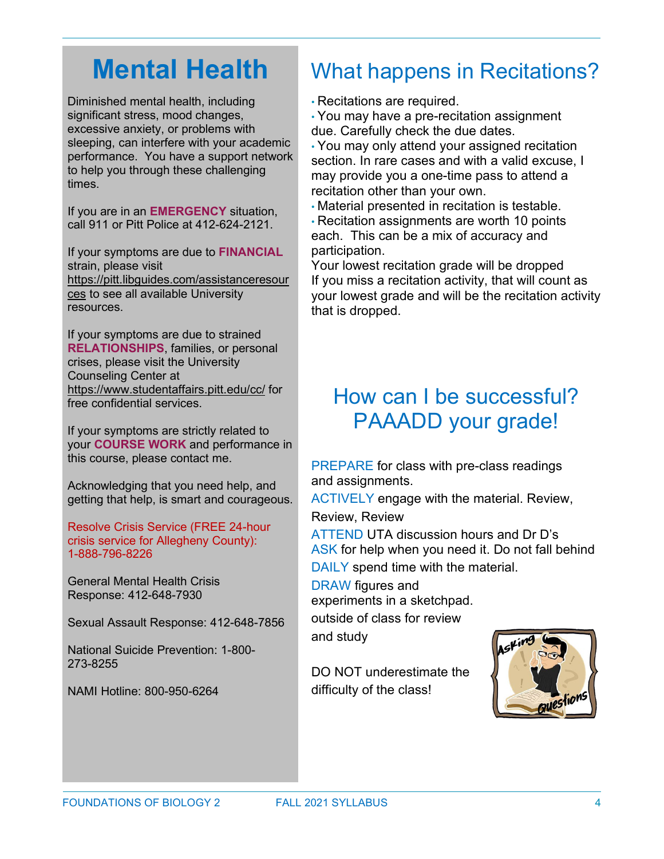## **Mental Health**

Diminished mental health, including significant stress, mood changes, excessive anxiety, or problems with sleeping, can interfere with your academic performance. You have a support network to help you through these challenging times.

If you are in an **EMERGENCY** situation, call 911 or Pitt Police at 412-624-2121.

If your symptoms are due to **FINANCIAL** strain, please visit [https://pitt.libguides.com/assistanceresour](https://pitt.libguides.com/assistanceresources) [ces](https://pitt.libguides.com/assistanceresources) to see all available University resources.

If your symptoms are due to strained **RELATIONSHIPS**, families, or personal crises, please visit the University Counseling Center at <https://www.studentaffairs.pitt.edu/cc/> for free confidential services.

If your symptoms are strictly related to your **COURSE WORK** and performance in this course, please contact me.

Acknowledging that you need help, and getting that help, is smart and courageous.

Resolve Crisis Service (FREE 24-hour crisis service for Allegheny County): 1-888-796-8226

General Mental Health Crisis Response: 412-648-7930

Sexual Assault Response: 412-648-7856

National Suicide Prevention: 1-800- 273-8255

NAMI Hotline: 800-950-6264

## What happens in Recitations?

• Recitations are required.

• You may have a pre-recitation assignment due. Carefully check the due dates.

• You may only attend your assigned recitation section. In rare cases and with a valid excuse, I may provide you a one-time pass to attend a recitation other than your own.

• Material presented in recitation is testable.

• Recitation assignments are worth 10 points each. This can be a mix of accuracy and participation.

Your lowest recitation grade will be dropped If you miss a recitation activity, that will count as your lowest grade and will be the recitation activity that is dropped.

## How can I be successful? PAAADD your grade!

PREPARE for class with pre-class readings and assignments.

ACTIVELY engage with the material. Review,

Review, Review

ATTEND UTA discussion hours and Dr D's ASK for help when you need it. Do not fall behind DAILY spend time with the material.

DRAW figures and

experiments in a sketchpad.

outside of class for review and study

DO NOT underestimate the difficulty of the class!

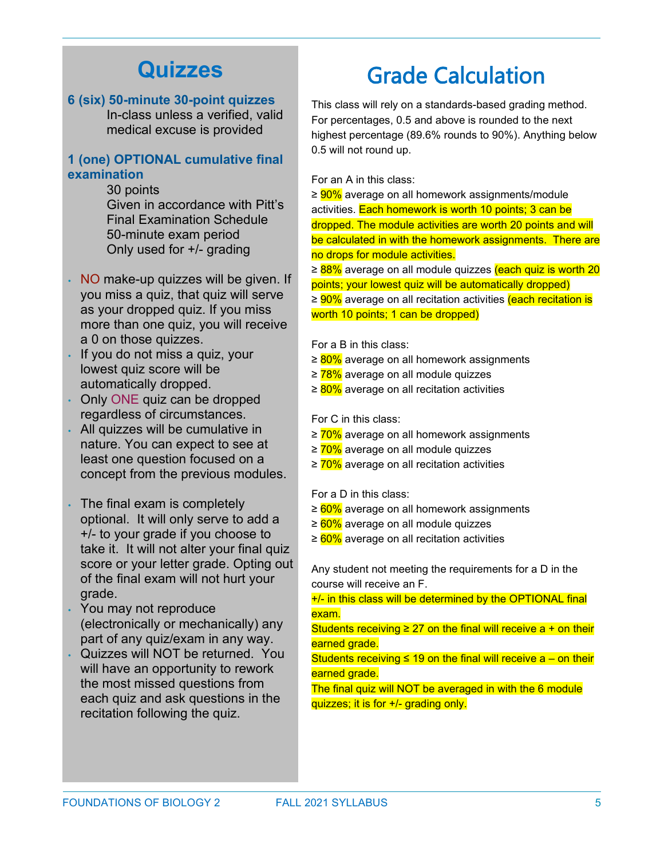## **Quizzes**

#### **6 (six) 50-minute 30-point quizzes**

In-class unless a verified, valid medical excuse is provided

#### **1 (one) OPTIONAL cumulative final examination**

30 points

Given in accordance with Pitt's Final Examination Schedule 50-minute exam period Only used for +/- grading

- NO make-up quizzes will be given. If you miss a quiz, that quiz will serve as your dropped quiz. If you miss more than one quiz, you will receive a 0 on those quizzes.
- If you do not miss a quiz, your lowest quiz score will be automatically dropped.
- Only ONE quiz can be dropped regardless of circumstances.
- All quizzes will be cumulative in nature. You can expect to see at least one question focused on a concept from the previous modules.
- The final exam is completely optional. It will only serve to add a +/- to your grade if you choose to take it. It will not alter your final quiz score or your letter grade. Opting out of the final exam will not hurt your grade.
- You may not reproduce (electronically or mechanically) any part of any quiz/exam in any way.
- Quizzes will NOT be returned. You will have an opportunity to rework the most missed questions from each quiz and ask questions in the recitation following the quiz.

## Grade Calculation

This class will rely on a standards-based grading method. For percentages, 0.5 and above is rounded to the next highest percentage (89.6% rounds to 90%). Anything below 0.5 will not round up.

For an A in this class:

≥ <mark>90%</mark> average on all homework assignments/module activities. Each homework is worth 10 points; 3 can be dropped. The module activities are worth 20 points and will be calculated in with the homework assignments. There are no drops for module activities.

≥ 88% average on all module quizzes (each quiz is worth 20 points; your lowest quiz will be automatically dropped) ≥ 90% average on all recitation activities (each recitation is worth 10 points; 1 can be dropped)

For a B in this class:

- ≥ 80% average on all homework assignments
- ≥ 78% average on all module quizzes
- ≥ 80% average on all recitation activities

For C in this class:

- ≥ 70% average on all homework assignments
- ≥ 70% average on all module quizzes
- ≥ 70% average on all recitation activities

For a D in this class:

- ≥ 60% average on all homework assignments
- ≥ 60% average on all module quizzes
- ≥ 60% average on all recitation activities

Any student not meeting the requirements for a D in the course will receive an F.

+/- in this class will be determined by the OPTIONAL final exam.

Students receiving  $\geq 27$  on the final will receive a + on their earned grade.

Students receiving ≤ 19 on the final will receive  $a -$  on their earned grade.

The final quiz will NOT be averaged in with the 6 module quizzes; it is for +/- grading only.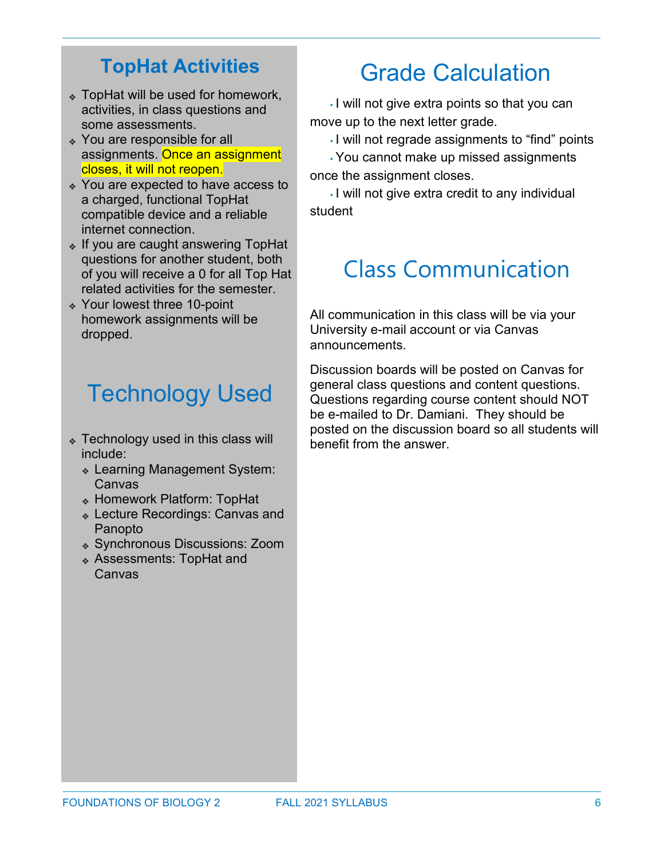### **TopHat Activities**

- ❖ TopHat will be used for homework, activities, in class questions and some assessments.
- ❖ You are responsible for all assignments. Once an assignment closes, it will not reopen.
- ❖ You are expected to have access to a charged, functional TopHat compatible device and a reliable internet connection.
- ❖ If you are caught answering TopHat questions for another student, both of you will receive a 0 for all Top Hat related activities for the semester.
- ❖ Your lowest three 10-point homework assignments will be dropped.

## Technology Used

- ❖ Technology used in this class will include:
	- ❖ Learning Management System: Canvas
	- ❖ Homework Platform: TopHat
	- ❖ Lecture Recordings: Canvas and Panopto
	- ❖ Synchronous Discussions: Zoom
	- ❖ Assessments: TopHat and Canvas

## Grade Calculation

• I will not give extra points so that you can move up to the next letter grade.

• I will not regrade assignments to "find" points

•You cannot make up missed assignments once the assignment closes.

• I will not give extra credit to any individual student

## Class Communication

All communication in this class will be via your University e-mail account or via Canvas announcements.

Discussion boards will be posted on Canvas for general class questions and content questions. Questions regarding course content should NOT be e-mailed to Dr. Damiani. They should be posted on the discussion board so all students will benefit from the answer.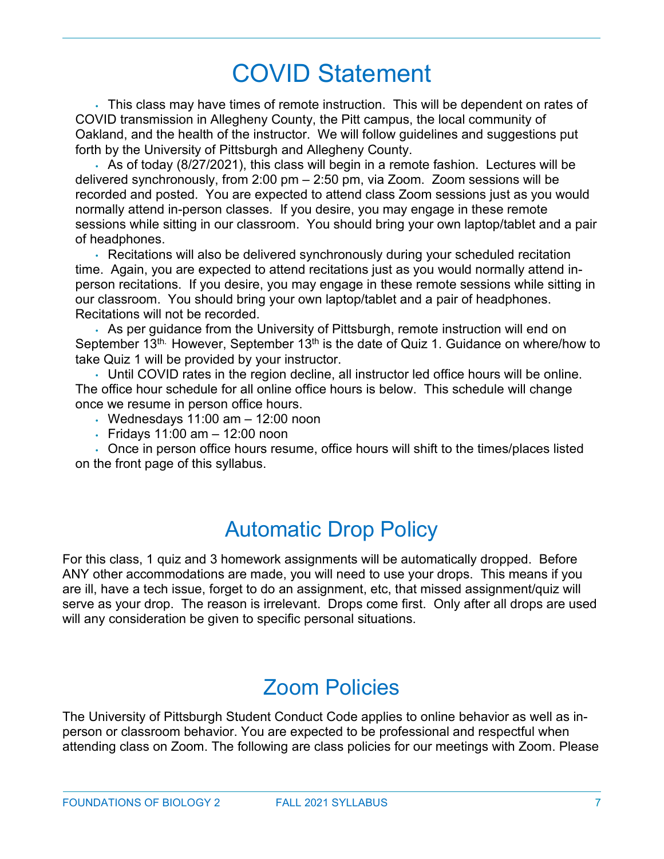## COVID Statement

• This class may have times of remote instruction. This will be dependent on rates of COVID transmission in Allegheny County, the Pitt campus, the local community of Oakland, and the health of the instructor. We will follow guidelines and suggestions put forth by the University of Pittsburgh and Allegheny County.

• As of today (8/27/2021), this class will begin in a remote fashion. Lectures will be delivered synchronously, from 2:00 pm – 2:50 pm, via Zoom. Zoom sessions will be recorded and posted. You are expected to attend class Zoom sessions just as you would normally attend in-person classes. If you desire, you may engage in these remote sessions while sitting in our classroom. You should bring your own laptop/tablet and a pair of headphones.

• Recitations will also be delivered synchronously during your scheduled recitation time. Again, you are expected to attend recitations just as you would normally attend inperson recitations. If you desire, you may engage in these remote sessions while sitting in our classroom. You should bring your own laptop/tablet and a pair of headphones. Recitations will not be recorded.

• As per guidance from the University of Pittsburgh, remote instruction will end on September  $13<sup>th</sup>$ . However, September  $13<sup>th</sup>$  is the date of Quiz 1. Guidance on where/how to take Quiz 1 will be provided by your instructor.

• Until COVID rates in the region decline, all instructor led office hours will be online. The office hour schedule for all online office hours is below. This schedule will change once we resume in person office hours.

- $\cdot$  Wednesdays 11:00 am  $-$  12:00 noon
- Fridays 11:00 am 12:00 noon

• Once in person office hours resume, office hours will shift to the times/places listed on the front page of this syllabus.

## Automatic Drop Policy

For this class, 1 quiz and 3 homework assignments will be automatically dropped. Before ANY other accommodations are made, you will need to use your drops. This means if you are ill, have a tech issue, forget to do an assignment, etc, that missed assignment/quiz will serve as your drop. The reason is irrelevant. Drops come first. Only after all drops are used will any consideration be given to specific personal situations.

## Zoom Policies

The University of Pittsburgh Student Conduct Code applies to online behavior as well as inperson or classroom behavior. You are expected to be professional and respectful when attending class on Zoom. The following are class policies for our meetings with Zoom. Please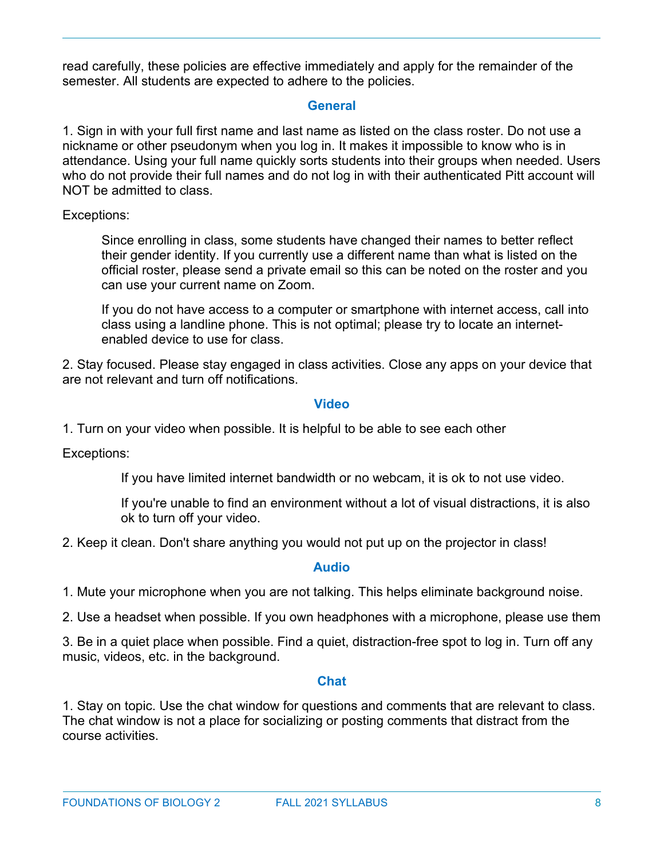read carefully, these policies are effective immediately and apply for the remainder of the semester. All students are expected to adhere to the policies.

### **General**

1. Sign in with your full first name and last name as listed on the class roster. Do not use a nickname or other pseudonym when you log in. It makes it impossible to know who is in attendance. Using your full name quickly sorts students into their groups when needed. Users who do not provide their full names and do not log in with their authenticated Pitt account will NOT be admitted to class.

Exceptions:

Since enrolling in class, some students have changed their names to better reflect their gender identity. If you currently use a different name than what is listed on the official roster, please send a private email so this can be noted on the roster and you can use your current name on Zoom.

If you do not have access to a computer or smartphone with internet access, call into class using a landline phone. This is not optimal; please try to locate an internetenabled device to use for class.

2. Stay focused. Please stay engaged in class activities. Close any apps on your device that are not relevant and turn off notifications.

#### **Video**

1. Turn on your video when possible. It is helpful to be able to see each other

Exceptions:

If you have limited internet bandwidth or no webcam, it is ok to not use video.

If you're unable to find an environment without a lot of visual distractions, it is also ok to turn off your video.

2. Keep it clean. Don't share anything you would not put up on the projector in class!

#### **Audio**

1. Mute your microphone when you are not talking. This helps eliminate background noise.

2. Use a headset when possible. If you own headphones with a microphone, please use them

3. Be in a quiet place when possible. Find a quiet, distraction-free spot to log in. Turn off any music, videos, etc. in the background.

#### **Chat**

1. Stay on topic. Use the chat window for questions and comments that are relevant to class. The chat window is not a place for socializing or posting comments that distract from the course activities.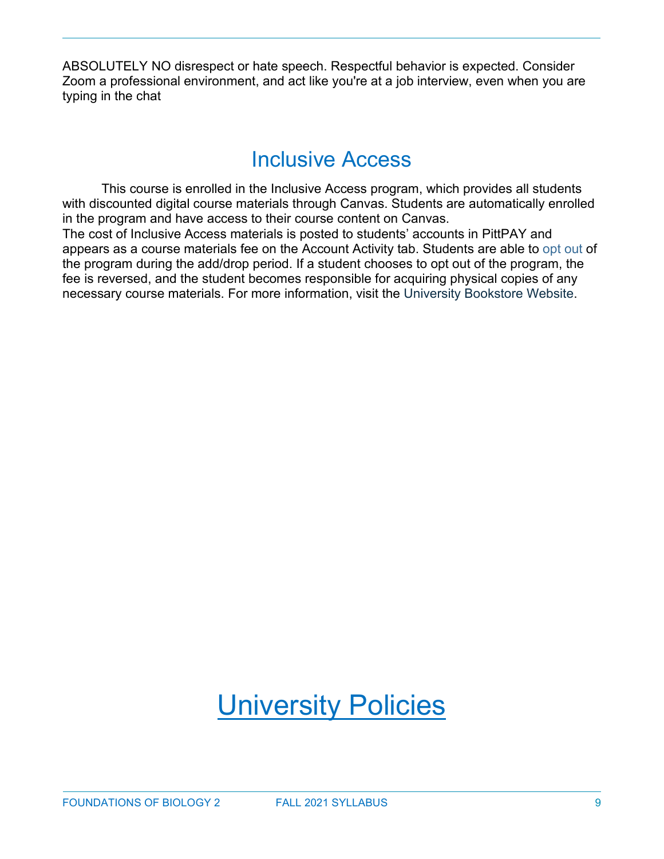ABSOLUTELY NO disrespect or hate speech. Respectful behavior is expected. Consider Zoom a professional environment, and act like you're at a job interview, even when you are typing in the chat

## Inclusive Access

This course is enrolled in the Inclusive Access program, which provides all students with discounted digital course materials through Canvas. Students are automatically enrolled in the program and have access to their course content on Canvas.

The cost of Inclusive Access materials is posted to students' accounts in PittPAY and appears as a course materials fee on the Account Activity tab. Students are able to opt out of the program during the add/drop period. If a student chooses to opt out of the program, the fee is reversed, and the student becomes responsible for acquiring physical copies of any necessary course materials. For more information, visit the University Bookstore Website.

## University Policies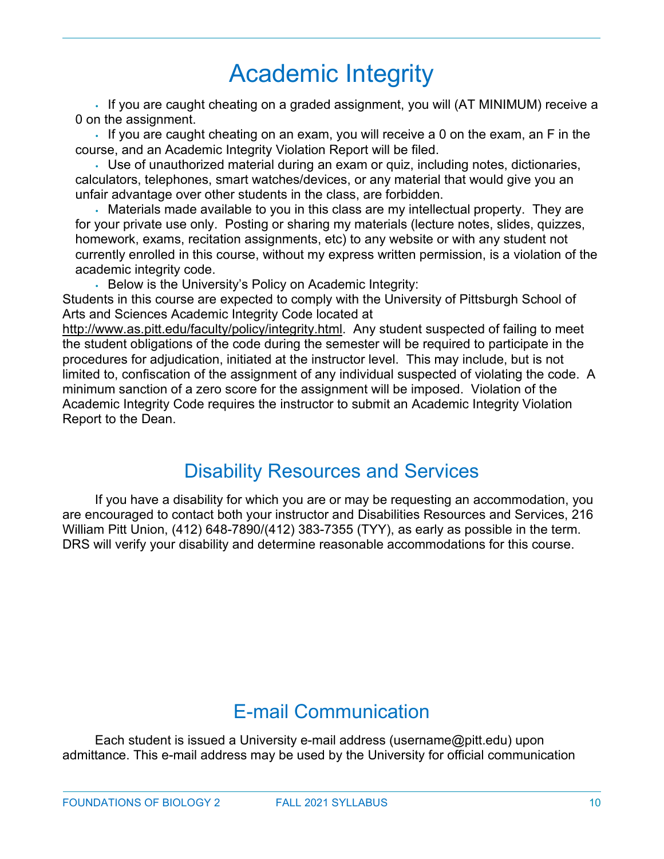## Academic Integrity

• If you are caught cheating on a graded assignment, you will (AT MINIMUM) receive a 0 on the assignment.

• If you are caught cheating on an exam, you will receive a 0 on the exam, an F in the course, and an Academic Integrity Violation Report will be filed.

• Use of unauthorized material during an exam or quiz, including notes, dictionaries, calculators, telephones, smart watches/devices, or any material that would give you an unfair advantage over other students in the class, are forbidden.

• Materials made available to you in this class are my intellectual property. They are for your private use only. Posting or sharing my materials (lecture notes, slides, quizzes, homework, exams, recitation assignments, etc) to any website or with any student not currently enrolled in this course, without my express written permission, is a violation of the academic integrity code.

• Below is the University's Policy on Academic Integrity:

Students in this course are expected to comply with the University of Pittsburgh School of Arts and Sciences Academic Integrity Code located at

[http://www.as.pitt.edu/faculty/policy/integrity.html.](http://www.as.pitt.edu/faculty/policy/integrity.html) Any student suspected of failing to meet the student obligations of the code during the semester will be required to participate in the procedures for adjudication, initiated at the instructor level. This may include, but is not limited to, confiscation of the assignment of any individual suspected of violating the code. A minimum sanction of a zero score for the assignment will be imposed. Violation of the Academic Integrity Code requires the instructor to submit an Academic Integrity Violation Report to the Dean.

### Disability Resources and Services

If you have a disability for which you are or may be requesting an accommodation, you are encouraged to contact both your instructor and Disabilities Resources and Services, 216 William Pitt Union, (412) 648-7890/(412) 383-7355 (TYY), as early as possible in the term. DRS will verify your disability and determine reasonable accommodations for this course.

### E-mail Communication

Each student is issued a University e-mail address (username@pitt.edu) upon admittance. This e-mail address may be used by the University for official communication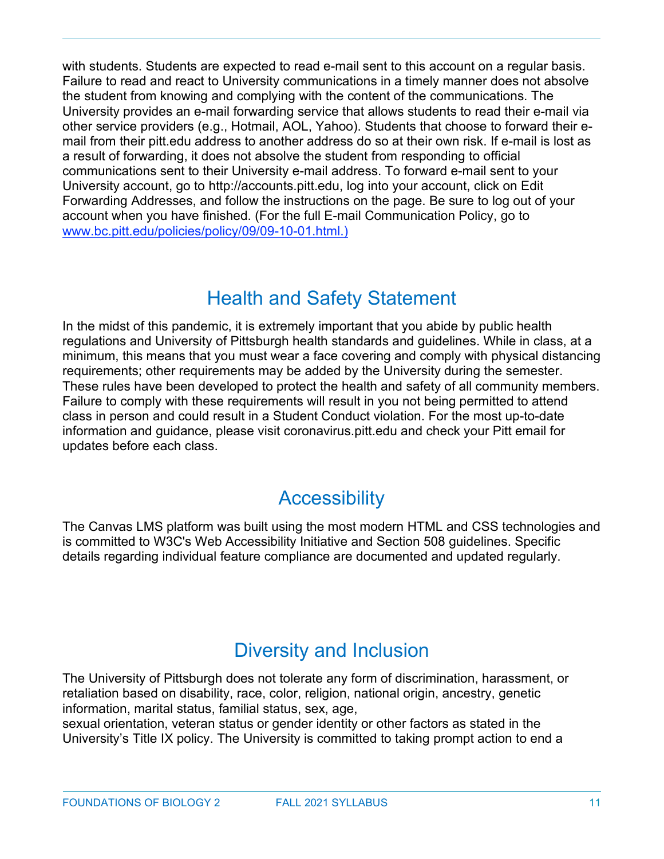with students. Students are expected to read e-mail sent to this account on a regular basis. Failure to read and react to University communications in a timely manner does not absolve the student from knowing and complying with the content of the communications. The University provides an e-mail forwarding service that allows students to read their e-mail via other service providers (e.g., Hotmail, AOL, Yahoo). Students that choose to forward their email from their pitt.edu address to another address do so at their own risk. If e-mail is lost as a result of forwarding, it does not absolve the student from responding to official communications sent to their University e-mail address. To forward e-mail sent to your University account, go to http://accounts.pitt.edu, log into your account, click on Edit Forwarding Addresses, and follow the instructions on the page. Be sure to log out of your account when you have finished. (For the full E-mail Communication Policy, go to [www.bc.pitt.edu/policies/policy/09/09-10-01.html.\)](http://www.bc.pitt.edu/policies/policy/09/09-10-01.html.))

### Health and Safety Statement

In the midst of this pandemic, it is extremely important that you abide by public health regulations and University of Pittsburgh health standards and guidelines. While in class, at a minimum, this means that you must wear a face covering and comply with physical distancing requirements; other requirements may be added by the University during the semester. These rules have been developed to protect the health and safety of all community members. Failure to comply with these requirements will result in you not being permitted to attend class in person and could result in a Student Conduct violation. For the most up-to-date information and guidance, please visit coronavirus.pitt.edu and check your Pitt email for updates before each class.

### **Accessibility**

The Canvas LMS platform was built using the most modern HTML and CSS technologies and is committed to W3C's Web Accessibility Initiative and Section 508 guidelines. Specific details regarding individual feature compliance are documented and updated regularly.

### Diversity and Inclusion

The University of Pittsburgh does not tolerate any form of discrimination, harassment, or retaliation based on disability, race, color, religion, national origin, ancestry, genetic information, marital status, familial status, sex, age,

sexual orientation, veteran status or gender identity or other factors as stated in the University's Title IX policy. The University is committed to taking prompt action to end a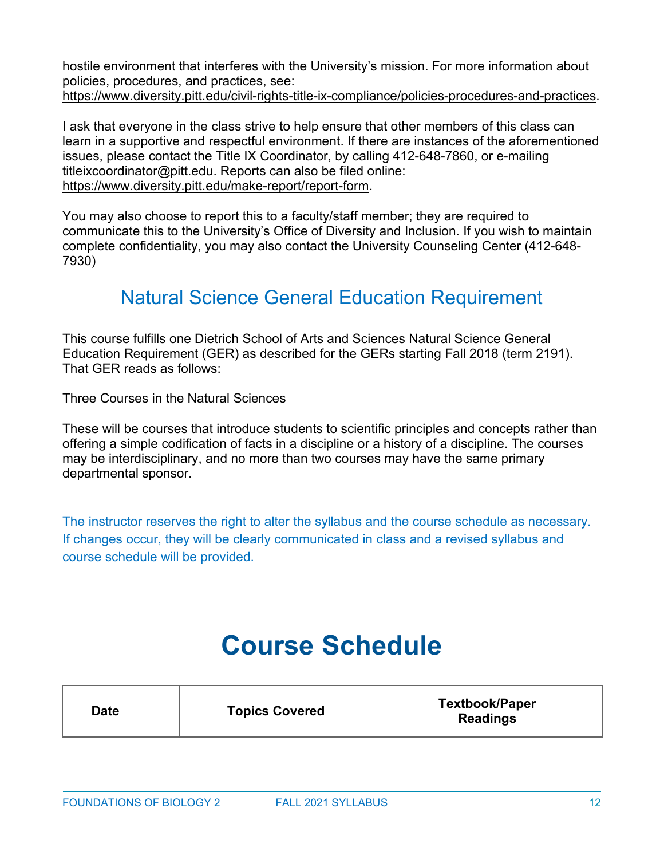hostile environment that interferes with the University's mission. For more information about policies, procedures, and practices, see: [https://www.diversity.pitt.edu/civil-rights-title-ix-compliance/policies-procedures-and-practices.](https://www.diversity.pitt.edu/civil-rights-title-ix-compliance/policies-procedures-and-practices)

I ask that everyone in the class strive to help ensure that other members of this class can learn in a supportive and respectful environment. If there are instances of the aforementioned issues, please contact the Title IX Coordinator, by calling 412-648-7860, or e-mailing titleixcoordinator@pitt.edu. Reports can also be filed online: [https://www.diversity.pitt.edu/make-report/report-form.](https://www.diversity.pitt.edu/make-report/report-form)

You may also choose to report this to a faculty/staff member; they are required to communicate this to the University's Office of Diversity and Inclusion. If you wish to maintain complete confidentiality, you may also contact the University Counseling Center (412-648- 7930)

### Natural Science General Education Requirement

This course fulfills one Dietrich School of Arts and Sciences Natural Science General Education Requirement (GER) as described for the GERs starting Fall 2018 (term 2191). That GER reads as follows:

Three Courses in the Natural Sciences

These will be courses that introduce students to scientific principles and concepts rather than offering a simple codification of facts in a discipline or a history of a discipline. The courses may be interdisciplinary, and no more than two courses may have the same primary departmental sponsor.

The instructor reserves the right to alter the syllabus and the course schedule as necessary. If changes occur, they will be clearly communicated in class and a revised syllabus and course schedule will be provided.

## **Course Schedule**

| Date | <b>Topics Covered</b> | <b>Textbook/Paper</b><br><b>Readings</b> |
|------|-----------------------|------------------------------------------|
|------|-----------------------|------------------------------------------|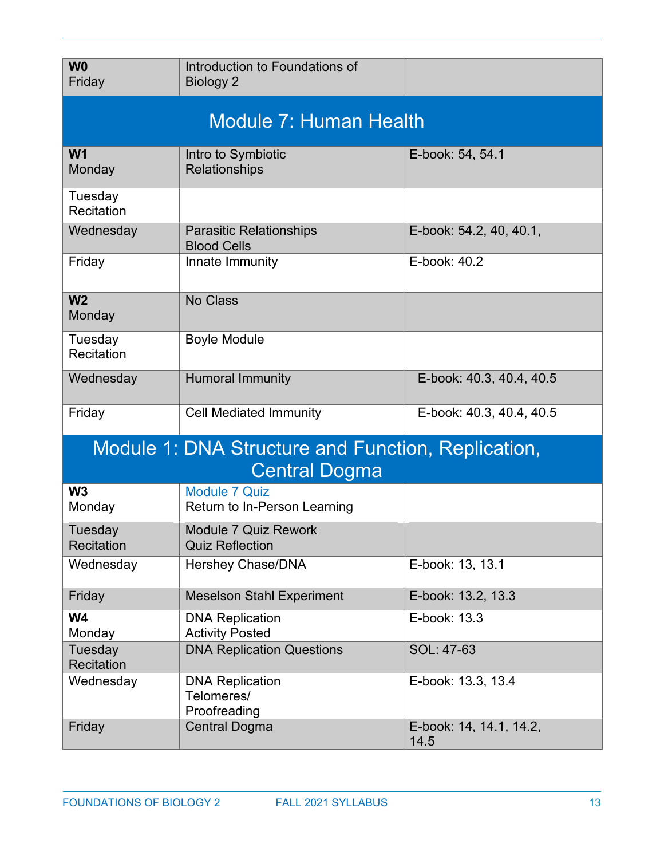| W <sub>0</sub><br>Friday                                                   | Introduction to Foundations of<br><b>Biology 2</b>   |                                 |  |
|----------------------------------------------------------------------------|------------------------------------------------------|---------------------------------|--|
| Module 7: Human Health                                                     |                                                      |                                 |  |
| W <sub>1</sub><br>Monday                                                   | Intro to Symbiotic<br>Relationships                  | E-book: 54, 54.1                |  |
| Tuesday<br>Recitation                                                      |                                                      |                                 |  |
| Wednesday                                                                  | <b>Parasitic Relationships</b><br><b>Blood Cells</b> | E-book: 54.2, 40, 40.1,         |  |
| Friday                                                                     | Innate Immunity                                      | E-book: 40.2                    |  |
| W <sub>2</sub><br>Monday                                                   | <b>No Class</b>                                      |                                 |  |
| Tuesday<br>Recitation                                                      | <b>Boyle Module</b>                                  |                                 |  |
| Wednesday                                                                  | <b>Humoral Immunity</b>                              | E-book: 40.3, 40.4, 40.5        |  |
| Friday                                                                     | <b>Cell Mediated Immunity</b>                        | E-book: 40.3, 40.4, 40.5        |  |
| Module 1: DNA Structure and Function, Replication,<br><b>Central Dogma</b> |                                                      |                                 |  |
| W <sub>3</sub><br>Monday                                                   | <b>Module 7 Quiz</b><br>Return to In-Person Learning |                                 |  |
| Tuesday<br>Recitation                                                      | Module 7 Quiz Rework<br><b>Quiz Reflection</b>       |                                 |  |
| Wednesday                                                                  | Hershey Chase/DNA                                    | E-book: 13, 13.1                |  |
| Friday                                                                     | <b>Meselson Stahl Experiment</b>                     | E-book: 13.2, 13.3              |  |
| <b>W4</b><br>Monday                                                        | <b>DNA Replication</b><br><b>Activity Posted</b>     | E-book: 13.3                    |  |
| Tuesday<br>Recitation                                                      | <b>DNA Replication Questions</b>                     | SOL: 47-63                      |  |
| Wednesday                                                                  | <b>DNA Replication</b><br>Telomeres/<br>Proofreading | E-book: 13.3, 13.4              |  |
| Friday                                                                     | <b>Central Dogma</b>                                 | E-book: 14, 14.1, 14.2,<br>14.5 |  |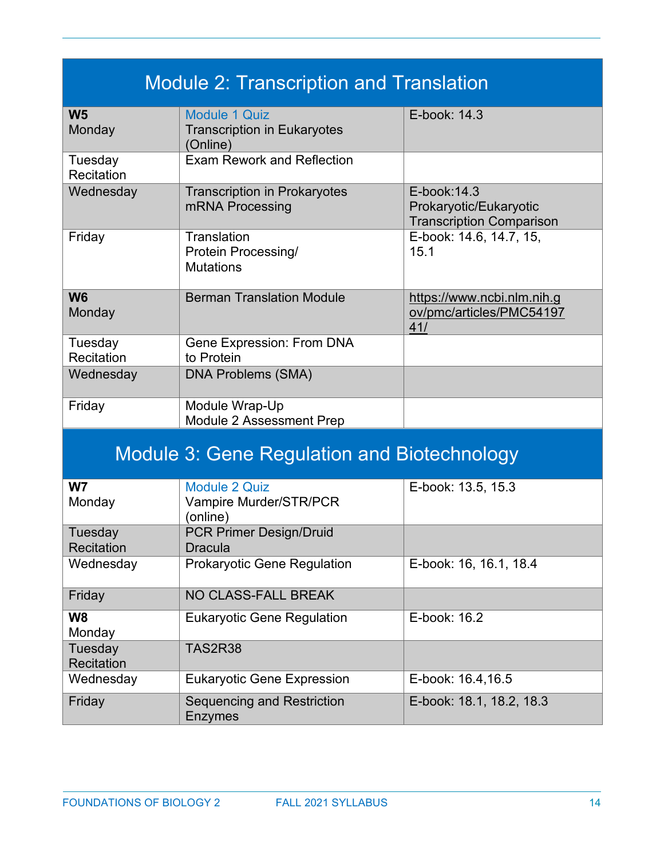| <b>Module 2: Transcription and Translation</b>     |                                                                        |                                                                           |  |
|----------------------------------------------------|------------------------------------------------------------------------|---------------------------------------------------------------------------|--|
| W <sub>5</sub><br>Monday                           | <b>Module 1 Quiz</b><br><b>Transcription in Eukaryotes</b><br>(Online) | E-book: 14.3                                                              |  |
| Tuesday<br>Recitation                              | <b>Exam Rework and Reflection</b>                                      |                                                                           |  |
| Wednesday                                          | <b>Transcription in Prokaryotes</b><br>mRNA Processing                 | E-book: 14.3<br>Prokaryotic/Eukaryotic<br><b>Transcription Comparison</b> |  |
| Friday                                             | Translation<br><b>Protein Processing/</b><br><b>Mutations</b>          | E-book: 14.6, 14.7, 15,<br>15.1                                           |  |
| <b>W6</b><br>Monday                                | <b>Berman Translation Module</b>                                       | https://www.ncbi.nlm.nih.g<br>ov/pmc/articles/PMC54197<br>41/             |  |
| Tuesday<br>Recitation                              | Gene Expression: From DNA<br>to Protein                                |                                                                           |  |
| Wednesday                                          | <b>DNA Problems (SMA)</b>                                              |                                                                           |  |
| Friday                                             | Module Wrap-Up<br>Module 2 Assessment Prep                             |                                                                           |  |
| <b>Module 3: Gene Regulation and Biotechnology</b> |                                                                        |                                                                           |  |
| W <sub>7</sub><br>Monday                           | <b>Module 2 Quiz</b><br>Vampire Murder/STR/PCR<br>(online)             | E-book: 13.5, 15.3                                                        |  |
| Tuesday<br><b>Recitation</b>                       | <b>PCR Primer Design/Druid</b><br><b>Dracula</b>                       |                                                                           |  |
| Wednesday                                          | <b>Prokaryotic Gene Regulation</b>                                     | E-book: 16, 16.1, 18.4                                                    |  |
| Friday                                             | NO CLASS-FALL BREAK                                                    |                                                                           |  |
| W <sub>8</sub><br>Monday                           | <b>Eukaryotic Gene Regulation</b>                                      | E-book: 16.2                                                              |  |
| Tuesday<br><b>Recitation</b>                       | <b>TAS2R38</b>                                                         |                                                                           |  |
| Wednesday                                          | <b>Eukaryotic Gene Expression</b>                                      | E-book: 16.4,16.5                                                         |  |
| Friday                                             | Sequencing and Restriction<br><b>Enzymes</b>                           | E-book: 18.1, 18.2, 18.3                                                  |  |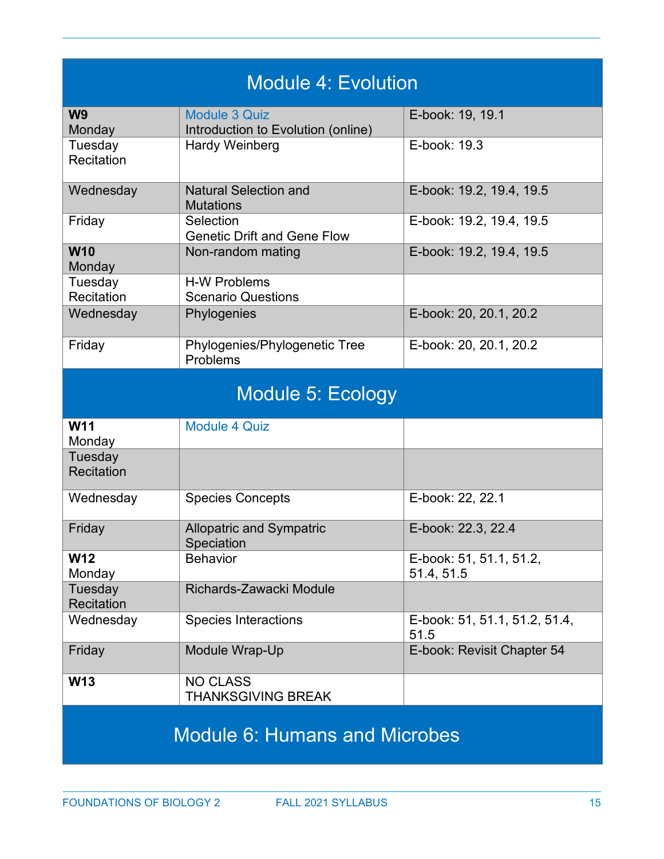| <b>Module 4: Evolution</b>           |                                                  |                                       |  |
|--------------------------------------|--------------------------------------------------|---------------------------------------|--|
| W <sub>9</sub>                       | <b>Module 3 Quiz</b>                             | E-book: 19, 19.1                      |  |
| Monday                               | Introduction to Evolution (online)               |                                       |  |
| Tuesday<br>Recitation                | <b>Hardy Weinberg</b>                            | E-book: 19.3                          |  |
| Wednesday                            | <b>Natural Selection and</b><br><b>Mutations</b> | E-book: 19.2, 19.4, 19.5              |  |
| Friday                               | Selection<br><b>Genetic Drift and Gene Flow</b>  | E-book: 19.2, 19.4, 19.5              |  |
| <b>W10</b><br>Monday                 | Non-random mating                                | E-book: 19.2, 19.4, 19.5              |  |
| Tuesday<br>Recitation                | <b>H-W Problems</b><br><b>Scenario Questions</b> |                                       |  |
| Wednesday                            | Phylogenies                                      | E-book: 20, 20.1, 20.2                |  |
| Friday                               | Phylogenies/Phylogenetic Tree<br>Problems        | E-book: 20, 20.1, 20.2                |  |
|                                      | Module 5: Ecology                                |                                       |  |
| <b>W11</b><br>Monday                 | <b>Module 4 Quiz</b>                             |                                       |  |
| Tuesday<br><b>Recitation</b>         |                                                  |                                       |  |
| Wednesday                            | <b>Species Concepts</b>                          | E-book: 22, 22.1                      |  |
| Friday                               | <b>Allopatric and Sympatric</b><br>Speciation    | E-book: 22.3, 22.4                    |  |
| <b>W12</b><br>Monday                 | <b>Behavior</b>                                  | E-book: 51, 51.1, 51.2,<br>51.4, 51.5 |  |
| Tuesday<br>Recitation                | Richards-Zawacki Module                          |                                       |  |
| Wednesday                            | <b>Species Interactions</b>                      | E-book: 51, 51.1, 51.2, 51.4,<br>51.5 |  |
| Friday                               | Module Wrap-Up                                   | E-book: Revisit Chapter 54            |  |
| <b>W13</b>                           | <b>NO CLASS</b><br><b>THANKSGIVING BREAK</b>     |                                       |  |
| <b>Module 6: Humans and Microbes</b> |                                                  |                                       |  |